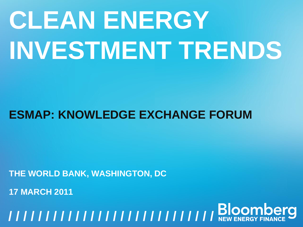# **CLEAN ENERGY INVESTMENT TRENDS**

## **ESMAP: KNOWLEDGE EXCHANGE FORUM**

**THE WORLD BANK, WASHINGTON, DC**

**17 MARCH 2011**

**ESMAP KNOWLEDGE EXHANGE FORUM , 17 MARCH 2011** <sup>1</sup> **/ / / / / / / / / / / / / / / / / / / / / / / / / / / / / / / /**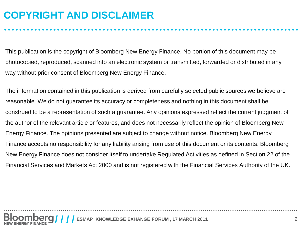## **COPYRIGHT AND DISCLAIMER**

This publication is the copyright of Bloomberg New Energy Finance. No portion of this document may be photocopied, reproduced, scanned into an electronic system or transmitted, forwarded or distributed in any way without prior consent of Bloomberg New Energy Finance.

The information contained in this publication is derived from carefully selected public sources we believe are reasonable. We do not guarantee its accuracy or completeness and nothing in this document shall be construed to be a representation of such a guarantee. Any opinions expressed reflect the current judgment of the author of the relevant article or features, and does not necessarily reflect the opinion of Bloomberg New Energy Finance. The opinions presented are subject to change without notice. Bloomberg New Energy Finance accepts no responsibility for any liability arising from use of this document or its contents. Bloomberg New Energy Finance does not consider itself to undertake Regulated Activities as defined in Section 22 of the Financial Services and Markets Act 2000 and is not registered with the Financial Services Authority of the UK.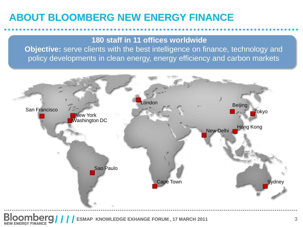## **ABOUT BLOOMBERG NEW ENERGY FINANCE**

#### **180 staff in 11 offices worldwide**

**Objective:** serve clients with the best intelligence on finance, technology and policy developments in clean energy, energy efficiency and carbon markets

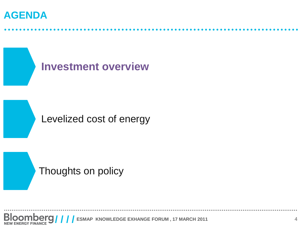## **AGENDA**



Thoughts on policy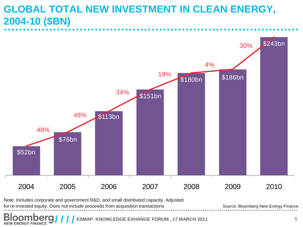## **GLOBAL TOTAL NEW INVESTMENT IN CLEAN ENERGY, 2004-10 (\$BN)**



Note: Includes corporate and government R&D, and small distributed capacity. Adjusted

for re-invested equity. Does not include proceeds from acquisition transactions

Source: Bloomberg New Energy Finance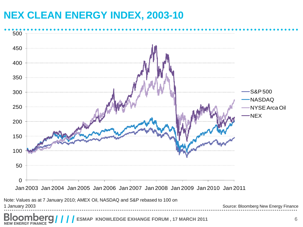## **NEX CLEAN ENERGY INDEX, 2003-10**

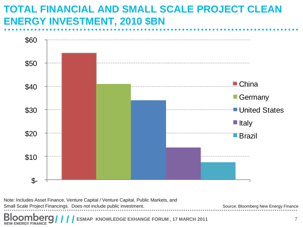## **TOTAL FINANCIAL AND SMALL SCALE PROJECT CLEAN ENERGY INVESTMENT, 2010 \$BN**



Note: Includes Asset Finance, Venture Capital / Venture Capital, Public Markets, and

Small Scale Project Financings. Does not include public investment.

**ESMAP KNOWLEDGE EXHANGE FORUM , 17 MARCH 2011** *T* **NEW ENERGY FINANCE** 

Source: Bloomberg New Energy Finance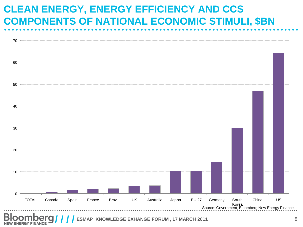## **CLEAN ENERGY, ENERGY EFFICIENCY AND CCS COMPONENTS OF NATIONAL ECONOMIC STIMULI, \$BN**



ESMAP KNOWLEDGE EXHANGE FORUM , 17 MARCH 2011 **8** 8 **NEW ENERGY FINANCE**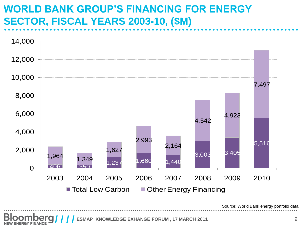## **WORLD BANK GROUP'S FINANCING FOR ENERGY SECTOR, FISCAL YEARS 2003-10, (\$M)**



**ESMAP KNOWLEDGE EXHANGE FORUM , 17 MARCH 2011** 9 **ENERGY FINANCE**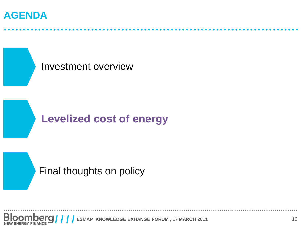## **AGENDA**



## **Levelized cost of energy**

### Final thoughts on policy

Bl **ETO / / / /** ESMAP KNOWLEDGE EXHANGE FORUM , 17 MARCH 2011 10 **ENERGY**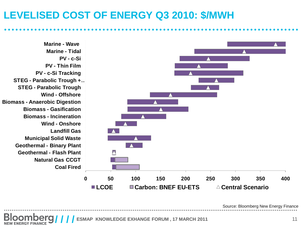## **LEVELISED COST OF ENERGY Q3 2010: \$/MWH**

**<sup>0</sup> 5 0 <sup>100</sup> <sup>150</sup> <sup>200</sup> <sup>250</sup> <sup>300</sup> <sup>350</sup> <sup>400</sup> Coal Fired Natural Gas CCGT Geothermal - Flash Plant Geothermal - Binary Plant Municipal Solid Waste Landfill Gas Wind - Onshore Biomass - Incineration Biomass - Gasification Biomass - Anaerobic Digestion Wind - Offshore STEG - Parabolic Trough STEG - Parabolic Trough + … PV - c-Si Tracking PV - Thin Film PV - c-Si Marine - Tidal Marine - Wave**  ■LCOE ■ Carbon: BNEF EU-ETS △ Central Scenario

Source: Bloomberg New Energy Finance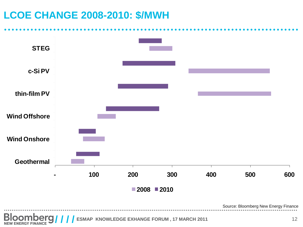## **LCOE CHANGE 2008-2010: \$/MWH**

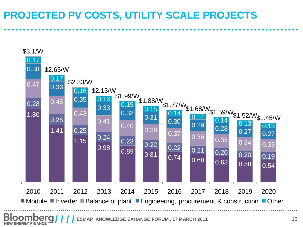## **PROJECTED PV COSTS, UTILITY SCALE PROJECTS**

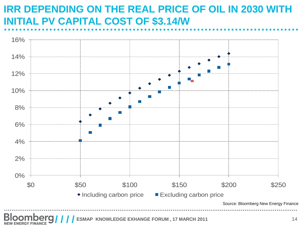## **IRR DEPENDING ON THE REAL PRICE OF OIL IN 2030 WITH INITIAL PV CAPITAL COST OF \$3.14/W**

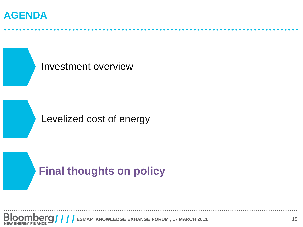## **AGENDA**



## **Final thoughts on policy**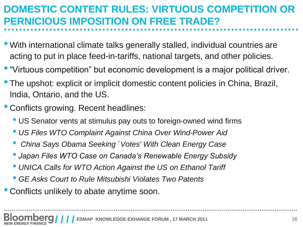## **DOMESTIC CONTENT RULES: VIRTUOUS COMPETITION OR PERNICIOUS IMPOSITION ON FREE TRADE?**

- With international climate talks generally stalled, individual countries are acting to put in place feed-in-tariffs, national targets, and other policies.
- •"Virtuous competition" but economic development is a major political driver.
- The upshot: explicit or implicit domestic content policies in China, Brazil, India, Ontario, and the US.
- Conflicts growing. Recent headlines:
	- US Senator vents at stimulus pay outs to foreign-owned wind firms
	- *US Files WTO Complaint Against China Over Wind-Power Aid*
	- *China Says Obama Seeking `Votes' With Clean Energy Case*
	- *Japan Files WTO Case on Canada's Renewable Energy Subsidy*
	- *UNICA Calls for WTO Action Against the US on Ethanol Tariff*
	- *GE Asks Court to Rule Mitsubishi Violates Two Patents*
- Conflicts unlikely to abate anytime soon.